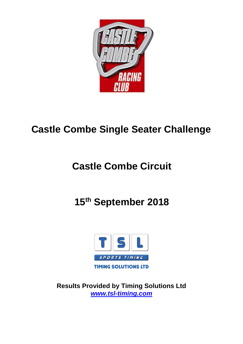

# **Castle Combe Single Seater Challenge**

# **Castle Combe Circuit**

# **15th September 2018**



**Results Provided by Timing Solutions Ltd** *[www.tsl-timing.com](http://www.tsl-timing.com/)*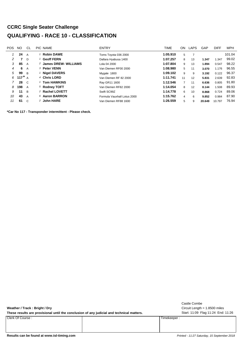## **CCRC Single Seater Challenge QUALIFYING - RACE 10 - CLASSIFICATION**

| POS. | NO         | CL            | PIC NAME                  | <b>ENTRY</b>                | TIME     | ON             | LAPS | <b>GAP</b> | <b>DIFF</b> | <b>MPH</b> |
|------|------------|---------------|---------------------------|-----------------------------|----------|----------------|------|------------|-------------|------------|
|      | 24         | A             | <b>Robin DAWE</b>         | Toms Toyota 036 2000        | 1:05.910 | 5              |      |            |             | 101.04     |
| 2    |            | $\mathsf{D}$  | <b>Geoff FERN</b>         | Dallara Hyabusa 1400        | 1:07.257 | 8              | 13   | 1.347      | .347        | 99.02      |
| 3    | 85         | A             | 2 James DREW- WILLIAMS    | Lola 04 2000                | 1:07.804 | 9              | 13   | 1.894      | 0.547       | 98.22      |
| 4    | 6.         | A             | 3 Peter VENN              | Van Diemen RF00 2000        | 1:08.980 | 5              | 11   | 3.070      | 1.176       | 96.55      |
| 5    | 99         | -B            | <sup>1</sup> Nigel DAVERS | Mygale 1800                 | 1:09.102 | 9              | 9    | 3.192      | 0.122       | 96.37      |
| 6    | 117 $^*$ A |               | 4 Chris LORD              | Van Diemen RF 82 2000       | 1:11.741 | 11             | 12   | 5.831      | 2.639       | 92.83      |
|      | 28         | $\mathcal{C}$ | 1 Tom HAWKINS             | Ray GR11 1600               | 1:12.546 | $\overline{7}$ | 11   | 6.636      | 0.805       | 91.80      |
| 8    | 198        | A             | 5 Rodney TOFT             | Van Diemen RF82 2000        | 1:14.054 | 8              | 12   | 8.144      | .508        | 89.93      |
| 9    | 11         | B             | 2 Rachel LOVETT           | Swift SC99Z                 | 1:14.778 | 6              | 10   | 8.868      | 0.724       | 89.06      |
| 10   | 43         | A             | 6 Aaron BARRON            | Formula Vauxhall Lotus 2000 | 1:15.762 | 4              | 6    | 9.852      | 0.984       | 87.90      |
| 11   | 61         | C.            | 2 John HARE               | Van Diemen RF88 1600        | 1:26.559 | 5              | 9    | 20.649     | 10.797      | 76.94      |

**\*Car No 117 - Transponder intermittent - Please check.**

| Weather / Track: Bright / Dry<br>These results are provisional until the conclusion of any judicial and technical matters. |             | Castle Combe<br>Circuit Length $= 1.8500$ miles<br>Start: 11:09 Flag 11:24 End: 11:26 |
|----------------------------------------------------------------------------------------------------------------------------|-------------|---------------------------------------------------------------------------------------|
| Clerk Of Course:                                                                                                           | Timekeeper: |                                                                                       |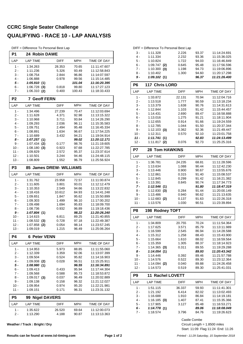#### **CCRC Single Seater Challenge QUALIFYING - RACE 10 - LAP ANALYSIS**

DIFF = Difference To Personal Best Lap

| P1             | 24 Robin DAWE              |                |                |                              |
|----------------|----------------------------|----------------|----------------|------------------------------|
| LAP            | <b>LAP TIME</b>            | <b>DIFF</b>    | MPH            | <b>TIME OF DAY</b>           |
| $1 -$          | 1:34.263                   | 28.353         | 70.65          | 11:11:47.607                 |
| 2 -            | 1:11.236                   | 5.326          | 93.49          | 11:12:58.843                 |
| 3 -            | 1:08.754                   | 2.844          | 96.86          | 11:14:07.597                 |
| 4 -            | 1:06.888                   | 0.978          | 99.56          | 11:15:14.485                 |
| $5 -$          | 1:05.910(1)                |                | 101.04         | 11:16:20.395                 |
| 6 -            | 1:06.728<br>(3)            | 0.818          | 99.80          | 11:17:27.123                 |
| 7 -            | 1:06.310(2)                | 0.400          | 100.43         | 11:18:33.433                 |
| P <sub>2</sub> | <b>7 Geoff FERN</b>        |                |                |                              |
| LAP            | <b>LAP TIME</b>            | <b>DIFF</b>    | MPH            | TIME OF DAY                  |
| 1 -            | 1:34.496                   | 27.239         | 70.47          | 11:12:03.694                 |
| $2 -$          | 1:11.628                   | 4.371          | 92.98          | 11:13:15.322                 |
| 3 -<br>4 -     | 1:10.968<br>1:09.293       | 3.711<br>2.036 | 93.84<br>96.11 | 11:14:26.290<br>11:15:35.583 |
| 5 -            | 1:09.751                   | 2.494          | 95.48          | 11:16:45.334                 |
| 6 -            | 1:08.891                   | 1.634          | 96.67          | 11:17:54.225                 |
| $7 -$          | 1:10.689                   | 3.432          | 94.21          | 11:19:04.914                 |
| 8 -            | 1:07.257(1)                |                | 99.02          | 11:20:12.171                 |
| 9 -            | 1:07.434<br>(2)            | 0.177          | 98.76          | 11:21:19.605                 |
| 10 -           | 1:08.180<br>(3)            | 0.923          | 97.68          | 11:22:27.785                 |
| $11 -$         | 1:09.829                   | 2.572          | 95.37          | 11:23:37.614                 |
| $12 -$         | 1:10.501                   | 3.244          | 94.46          | 11:24:48.115                 |
| 13 -           | 1:08.809                   | 1.552          | 96.79          | 11:25:56.924                 |
| P <sub>3</sub> | 85 James DREW- WILLIAMS    |                |                |                              |
| LAP            | <b>LAP TIME</b>            | <b>DIFF</b>    | MPH            | TIME OF DAY                  |
| 1 -            | 1:31.762                   | 23.958         | 72.57          | 11:11:00.874                 |
| 2 -            | 1:11.605                   | 3.801          | 93.01          | 11:12:12.479                 |
| 3 -            | 1:10.353                   | 2.549          | 94.66          | 11:13:22.832                 |
| 4 -            | 1:18.416                   | 10.612         | 84.93          | 11:14:41.248                 |
| 5 -            | 1:09.651                   | 1.847          | 95.62          | 11:15:50.899                 |
| 6 -<br>$7 -$   | 1:09.303                   | 1.499          | 96.10          | 11:17:00.202<br>11:18:09.700 |
| 8 -            | 1:09.498<br>1:08.736       | 1.694<br>0.932 | 95.83<br>96.89 | 11:19:18.436                 |
| 9 -            | 1:07.804(1)                |                | 98.22          | 11:20:26.240                 |
| 10 -           | 1:14.615                   | 6.811          | 89.25          | 11:21:40.855                 |
| 11 -           | $1:08.532$ (3)             | 0.728          | 97.18          | 11:22:49.387                 |
| $12 -$         | 1:07.858<br>(2)            | 0.054          | 98.14          | 11:23:57.245                 |
| $13 -$         | 1:09.019                   | 1.215          | 96.49          | 11:25:06.264                 |
| P4             | <b>6 Peter VENN</b>        |                |                |                              |
| LAP            | <b>LAP TIME</b>            | DIFF           | MPH            | TIME OF DAY                  |
| $1 -$          | 1:14.953                   | 5.973          | 88.85          | 11:11:55.060                 |
| 2 -            | 1:12.339                   | 3.359          | 92.06          | 11:13:07.399                 |
| 3 -            | 1:09.504                   | 0.524          | 95.82          | 11:14:16.903                 |
| 4 -            | 1:09.008<br>(2)            | 0.028          | 96.51          | 11:15:25.911                 |
| 5 -            | 1:08.980 (1)               |                | 96.55          | 11:16:34.891                 |
| 6 -            | 1:09.413                   | 0.433          | 95.94          | 11:17:44.304                 |
| 7 -<br>8 -     | 1:09.568<br>$1:09.017$ (3) | 0.588          | 95.73          | 11:18:53.872                 |
| 9 -            | 1:09.138                   | 0.037<br>0.158 | 96.49<br>96.32 | 11:20:02.889<br>11:21:12.027 |
| $10 -$         | 1:09.954                   | 0.974          | 95.20          | 11:22:21.981                 |
| 11 -           | 1:09.151                   | 0.171          | 96.31          | 11:23:31.132                 |
| P5             | 99 Nigel DAVERS            |                |                |                              |
| LAP            | LAP TIME                   | DIFF           | MPH            | TIME OF DAY                  |
| 1 -            | 1:35.622                   | 26.520         | 69.64          | 11:12:00.073                 |
| $2 -$          | 1:13.290                   | 4.188          | 90.87          | 11:13:13.363                 |

**Weather / Track : Bright / Dry**

#### DIFF = Difference To Personal Best Lap 3 - 1:11.328 2.226 93.37 11:14:24.691<br>4 - 1:11.334 2.232 93.36 11:15:36.025 4 - 1:11.334 2.232 93.36 11:15:36.025<br>5 - 1:10.824 1.722 94.03 11:16:46.849 11:16:46.849 6 - 1:09.747 (2) 0.645 95.48 11:17:56.596<br>7 - 1:10.300 (3) 1.198 94.73 11:19:06.896 7 - 1:10.300 **(3)**<br>8 - 1:10.402 8 - 1:10.402 1.300 11:20:17.298 94.60

| 9 -            | 1:09.102(1)                |             | 96.37      | 11:21:26.400 |
|----------------|----------------------------|-------------|------------|--------------|
| P <sub>6</sub> | 117 Chris LORD             |             |            |              |
| LAP            | <b>LAP TIME</b>            | DIFF        | MPH        | TIME OF DAY  |
| 1 -            | 1:33.872                   | 22.131      | 70.94      | 11:12:04.716 |
| $2-$           | 1:13.518                   | 1.777       | 90.59      | 11:13:18.234 |
| 3 -            | 1:13.379                   | 1.638       | 90.76      | 11:14:31.613 |
| $4 -$          | 1:12.844                   | 1.103       | 91.42      | 11:15:44.457 |
| 5 -            | 1:14.431                   | 2.690       | 89.47      | 11:16:58.888 |
| 6 -            | 1:13.016                   | 1.275       | 91.21      | 11:18:11.904 |
| $7 -$          | 1:12.655                   | 0.914       | 91.66      | 11:19:24.559 |
| 8 -            | 1:12.785                   | 1.044       | 91.50      | 11:20:37.344 |
| 9 -            | 1:12.103(3)                | 0.362       | 92.36      | 11:21:49.447 |
| $10 -$         | 1:12.311                   | 0.570       | 92.10      | 11:23:01.758 |
| $11 -$         | 1:11.741(1)                |             | 92.83      | 11:24:13.499 |
| $12 -$         | $1:11.817$ (2)             | 0.076       | 92.73      | 11:25:25.316 |
| P7             | <b>28 Tom HAWKINS</b>      |             |            |              |
| LAP            | <b>LAP TIME</b>            | DIFF        | <b>MPH</b> | TIME OF DAY  |
| 1 -            | 1:36.781                   | 24.235      | 68.81      | 11:11:28.596 |
| $2-$           | 1:13.634                   | 1.088       | 90.44      | 11:12:42.230 |
| 3 -            | 1:13.446                   | 0.900       | 90.67      | 11:13:55.676 |
| $4 -$          | 1:12.861                   | 0.315       | 91.40      | 11:15:08.537 |
| 5 -            | 1:12.845                   | 0.299       | 91.42      | 11:16:21.382 |
| 6 -            | 1:13.391                   | 0.845       | 90.74      | 11:17:34.773 |
| 7 -            | 1:12.546(1)                |             | 91.80      | 11:18:47.319 |
| 8 -            | 1:12.830(3)                | 0.284       | 91.44      | 11:20:00.149 |
| 9 -            | 1:13.486                   | 0.940       | 90.62      | 11:21:13.635 |
| $10 -$         | $1:12.683$ (2)             | 0.137       | 91.63      | 11:22:26.318 |
| 11 -           | 1:13.576                   | 1.030       | 90.51      | 11:23:39.894 |
| P8             | 198 Rodney TOFT            |             |            |              |
| LAP            | <b>LAP TIME</b>            | <b>DIFF</b> | MPH        | TIME OF DAY  |
| 1 -            | 1:34.809                   | 20.755      | 70.24      | 11:11:54.364 |
| 2 -            | 1:17.625                   | 3.571       | 85.79      | 11:13:11.989 |
| 3 -            | 1:16.599                   | 2.545       | 86.94      | 11:14:28.588 |
| 4 -            | 1:15.312                   | 1.258       | 88.43      | 11:15:43.900 |
| 5 -            | 1:15.664                   | 1.610       | 88.02      | 11:16:59.564 |
| 6 -            | 1:15.359                   | 1.305       | 88.37      | 11:18:14.923 |
| 7 -            | $1:14.365$ (3)             | 0.311       | 89.55      | 11:19:29.288 |
| 8 -            | 1:14.054(1)                |             | 89.93      | 11:20:43.342 |
| 9 -            | 1:14.446                   | 0.392       | 89.46      | 11:21:57.788 |
| $10 -$         | 1:14.576                   | 0.522       | 89.30      | 11:23:12.364 |
| 11 -           | $1:14.094$ (2)             | 0.040       | 89.88      | 11:24:26.458 |
| $12 -$         | 1:14.573                   | 0.519       | 89.30      | 11:25:41.031 |
| P9             | <b>Rachel LOVETT</b><br>11 |             |            |              |
| LAP            | <b>LAP TIME</b>            | <b>DIFF</b> | MPH        | TIME OF DAY  |
| 1 -            | 1:51.115                   | 36.337      | 59.93      | 11:11:41.301 |
| 2 -            | 1:21.192                   | 6.414       | 82.02      | 11:13:02.493 |
| 3 -            | 1:16.688                   | 1.910       | 86.84      | 11:14:19.181 |
| 4 -            | $1:16.185$ (3)             | 1.407       | 87.41      | 11:15:35.366 |
| 5 -            | 1:17.905                   | 3.127       | 85.48      | 11:16:53.271 |

Castle Combe

*6 - 1:14.778 11:18:08.049* **(1)** *89.06*

Start: 11:09 Flag 11:24 End: 11:26 Circuit Length = 1.8500 miles

11:19:26.623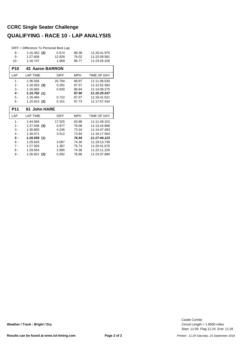### **CCRC Single Seater Challenge QUALIFYING - RACE 10 - LAP ANALYSIS**

|            | DIFF = Difference To Personal Best Lap |             |            |              |
|------------|----------------------------------------|-------------|------------|--------------|
| 8 -        | $1:15.352$ (2)                         | 0.574       | 88.38      | 11:20:41.975 |
| $9 -$      | 1:27.606                               | 12.828      | 76.02      | 11:22:09.581 |
| $10 -$     | 1:16.747                               | 1.969       | 86.77      | 11:23:26.328 |
| <b>P10</b> | <b>43 Aaron BARRON</b>                 |             |            |              |
| LAP        | <b>LAP TIME</b>                        | <b>DIFF</b> | <b>MPH</b> | TIME OF DAY  |
| $1 -$      | 1:36.556                               | 20.794      | 68.97      | 11:11:36.530 |
| $2 -$      | 1:16.053(3)                            | 0.291       | 87.57      | 11:12:52.583 |
| $3 -$      | 1:16.692                               | 0.930       | 86.84      | 11:14:09.275 |
| $4 -$      | 1:15.762(1)                            |             | 87.90      | 11:15:25.037 |
| 5 -        | 1:16.484                               | 0.722       | 87.07      | 11:16:41.521 |
| $6 -$      | $1:15.913$ (2)                         | 0.151       | 87.73      | 11:17:57.434 |
|            |                                        |             |            |              |
| <b>P11</b> | 61 John HARE                           |             |            |              |
| LAP        | <b>LAP TIME</b>                        | <b>DIFF</b> | <b>MPH</b> | TIME OF DAY  |
| $1 -$      | 1:44.084                               | 17.525      | 63.98      | 11:11:49.152 |
| 2 -        | $1:27.536$ (3)                         | 0.977       | 76.08      | 11:13:16.688 |
| $3 -$      | 1:30.805                               | 4.246       | 73.34      | 11:14:47.493 |
| $4 -$      | 1:30.071                               | 3.512       | 73.94      | 11:16:17.564 |
| 5 -        | 1:26.559(1)                            |             | 76.94      | 11:17:44.123 |
| $6 -$      | 1:29.626                               | 3.067       | 74.30      | 11:19:13.749 |
| $7 -$      | 1:27.926                               | 1.367       | 75.74      | 11:20:41.675 |
| 8 -        | 1:29.554                               | 2.995       | 74.36      | 11:22:11.229 |

Start: 11:09 Flag 11:24 End: 11:26 Circuit Length = 1.8500 miles Castle Combe

**Weather / Track : Bright / Dry**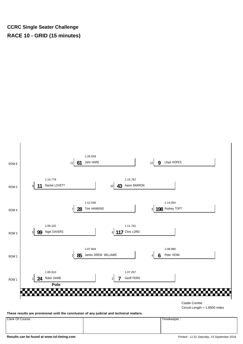#### **CCRC Single Seater Challenge RACE 10 - GRID (15 minutes)**



**These results are provisional until the conclusion of any judicial and technical matters.**

Clerk Of Course : Timekeeper :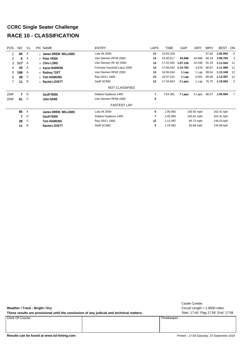# **CCRC Single Seater Challenge RACE 10 - CLASSIFICATION**

| <b>POS</b> | NO. | CL. | PIC NAME             | <b>ENTRY</b>                | <b>LAPS</b>  | <b>TIME</b> | GAP      | <b>DIFF</b> | <b>MPH</b> | <b>BEST</b> | ON             |
|------------|-----|-----|----------------------|-----------------------------|--------------|-------------|----------|-------------|------------|-------------|----------------|
|            | 85  | A   | James DREW- WILLIAMS | Lola 04 2000                | 14           | 15:55.329   |          |             | 97.60      | 1:05.992    | - 6            |
| 2          | 6   | A   | 2 Peter VENN         | Van Diemen RF00 2000        | 14           | 16:30.017   | 34.688   | 34.688      | 94.18      | 1:08.765    | - 3            |
| 3          | 117 | A   | 3 Chris LORD         | Van Diemen RF 82 2000       | 14           | 17:02.455   | 1:07.126 | 32.438      | 91.19      | 1:11.504    | 11             |
| 4          | 43  | A   | 4 Aaron BARRON       | Formula Vauxhall Lotus 2000 | 14           | 17:06.033   | 1:10.704 | 3.578       | 90.87      | 1:11.968    | 11             |
| 5          | 198 | A   | 5 Rodney TOFT        | Van Diemen RF82 2000        | 13           | 16:06.934   | 1 Lap    | 1 Lap       | 89.54      | 1:13.349    | - 12           |
| 6          | 28  | C   | 1 Tom HAWKINS        | Ray GR11 1600               | 13           | 16:07.515   | 1 Lap    | 0.581       | 89.48      | 1:13.397    | -12            |
| 7          | 11  | B   | 1 Rachel LOVETT      | Swift SC99Z                 | 12           | 17:34.943   | 2 Laps   | 1 Lap       | 75.75      | 1:19.582    | $\overline{2}$ |
|            |     |     |                      | <b>NOT CLASSIFIED</b>       |              |             |          |             |            |             |                |
| <b>DNF</b> |     | D   | <b>Geoff FERN</b>    | Dallara Hyabusa 1400        | 7            | 7:54.381    | 7 Laps   | 5 Laps      | 98.27      | 1:05.994    | 7              |
| <b>DNF</b> | 61  | C   | <b>John HARE</b>     | Van Diemen RF88 1600        | 0            |             |          |             |            |             |                |
|            |     |     |                      | <b>FASTEST LAP</b>          |              |             |          |             |            |             |                |
|            | 85  | A   | James DREW- WILLIAMS | Lola 04 2000                | 6            | 1:05.992    |          | 100.92 mph  |            | 162.41 kph  |                |
|            |     | D   | <b>Geoff FERN</b>    | Dallara Hyabusa 1400        | 7            | 1:05.994    |          | 100.91 mph  |            | 162.41 kph  |                |
|            | 28  | C   | Tom HAWKINS          | Ray GR11 1600               | 12           | 1:13.397    |          | 90.73 mph   |            | 146.03 kph  |                |
|            | 11  | B   | Rachel LOVETT        | Swift SC99Z                 | $\mathbf{2}$ | 1:19.582    |          | 83.68 mph   |            | 134.68 kph  |                |

| Weather / Track: Bright / Dry                                                             |             | Castle Combe<br>Circuit Length = $1.8500$ miles |
|-------------------------------------------------------------------------------------------|-------------|-------------------------------------------------|
| These results are provisional until the conclusion of any judicial and technical matters. |             | Start: 17:40 Flag 17:56 End: 17:58              |
| Clerk Of Course:                                                                          | Timekeeper: |                                                 |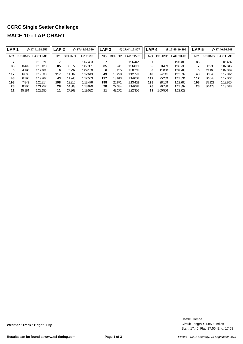# **CCRC Single Seater Challenge RACE 10 - LAP CHART**

| LAP <sub>1</sub> |               | @17:41:58.957 | LAP 2 |               | @17:43:06.360 | LAP <sub>3</sub> |               | @17:44:12.807 |           | LAP <sub>4</sub> | @17:45:19.295 | LAP <sub>5</sub> |               | @17:46:26.208 |
|------------------|---------------|---------------|-------|---------------|---------------|------------------|---------------|---------------|-----------|------------------|---------------|------------------|---------------|---------------|
| NO               | <b>BEHIND</b> | LAP TIME      | NO    | <b>BEHIND</b> | LAP TIME      | NO               | <b>BEHIND</b> | LAP TIME      | <b>NO</b> | <b>BEHIND</b>    | LAP TIME      | NO               | <b>BEHIND</b> | LAP TIME      |
|                  |               | 1:12.971      |       |               | 1:07.403      |                  |               | 1:06.447      |           |                  | 1:06.488      | 85               |               | 1:06.424      |
| 85               | 0.449         | 1:13.420      | 85    | 0.377         | 1:07.331      | 85               | 0.741         | 1:06.811      |           | 85<br>0.489      | 1:06.236      |                  | 0.933         | 1:07.846      |
| 6                | 4.190         | 1:17.161      | 6     | 5.937         | 1:09.150      | 6                | 8.255         | 1:08.765      |           | 11.050<br>6      | 1:09.283      | 6                | 13.166        | 1:09.029      |
| 117              | 6.062         | 1:19.033      | 117   | 11.302        | 1:12.643      | 43               | 18.290        | 1:12.791      |           | 43<br>24.141     | 1:12.339      | 43               | 30.040        | 1:12.812      |
| 43               | 6.796         | 1:19.767      | 43    | 11.946        | 1:12.553      | 117              | 18.913        | 1:14.058      | 117       | 25.259           | 1:12.834      | 117              | 30.648        | 1:12.302      |
| 198              | 7.843         | 1:20.814      | 198   | 13.916        | 1:13.476      | 198              | 20.871        | 1:13.402      | 198       | 28.169           | 1:13.786      | 198              | 35.121        | 1:13.865      |
| 28               | 8.286         | 1:21.257      | 28    | 14.803        | 1:13.920      | 28               | 22.384        | 1:14.028      |           | 29.788<br>28     | 1:13.892      | 28               | 36.473        | 1:13.598      |
| 11               | 15.184        | 1:28.155      | 11    | 27.363        | 1:19.582      | 11               | 43.272        | 1:22.356      |           | 1:00.506<br>11   | 1:23.722      |                  |               |               |

Start: 17:40 Flag 17:56 End: 17:58 Circuit Length = 1.8500 miles Castle Combe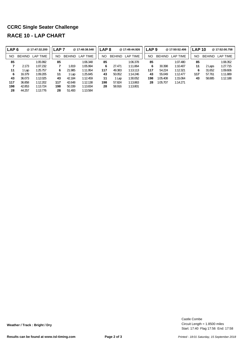# **CCRC Single Seater Challenge RACE 10 - LAP CHART**

51.493 1:13.584

44.257 1:13.776

| LAP <sub>6</sub> |               | @ 17:47:32.200 | LAP <sub>7</sub> |               | @17:48:38.548 | <b>LAP 8</b> |               | @17:49:44.926 | LAP 9 |               | @17:50:52.406 | <b>LAP 10</b> |               | @17:52:00.758 |
|------------------|---------------|----------------|------------------|---------------|---------------|--------------|---------------|---------------|-------|---------------|---------------|---------------|---------------|---------------|
| NO               | <b>BEHIND</b> | LAP TIME       | NO               | <b>BEHIND</b> | LAP TIME      | <b>NO</b>    | <b>BEHIND</b> | LAP TIME      | NO    | <b>BEHIND</b> | LAP TIME      | NO.           | <b>BEHIND</b> | LAP TIME      |
| 85               |               | 1:05.992       | 85               |               | 1:06.348      | 85           |               | 1:06.378      | 85    |               | 1:07.480      | 85            |               | 1:08.352      |
| 7                | 2.173         | 1:07.232       |                  | 1.819         | 1:05.994      | 6            | 27.471        | 1:11.864      | 6     | 30.398        | 1:10.407      | 11            | 2 Laps        | 1:27.715      |
| 11               | Lap           | 1:25.757       | 6                | 21.985        | 1:11.954      | 117          | 49.383        | 1:13.113      | 117   | 54.224        | 1:12.321      | 6             | 31.652        | 1:09.606      |
| 6                | 16.379        | 1:09.205       | 11               | Lap           | 1:25.845      | 43           | 50.052        | 1:14.246      | 43    | 55.049        | 1:12.477      | 117           | 57.761        | 1:11.889      |
| 43               | 36.073        | 1:12.025       | 43               | 42.184        | 1:12.459      | 11           | 1 Lap         | 1:30.052      | 198   | 1:05.408      | 1:15.064      | 43            | 58.885        | 1:12.188      |
| 117              | 36.858        | 1:12.202       | 117              | 42.648        | 1:12.138      | 198          | 57.824        | 1:13.863      | 28    | 1:05.707      | 1:14.271      |               |               |               |
| 198              | 42.853        | 1:13.724       | 198              | 50.339        | 1:13.834      | 28           | 58.916        | 1:13.801      |       |               |               |               |               |               |

Start: 17:40 Flag 17:56 End: 17:58 Circuit Length = 1.8500 miles Castle Combe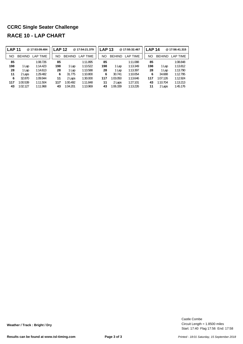# **CCRC Single Seater Challenge RACE 10 - LAP CHART**

| <b>LAP 11</b> |               | @17:53:09.484   | <b>LAP 12</b> |               | @17:54:21.379 | <b>LAP 13</b> |               | @17:55:32.467   | <b>LAP 14</b> |               | @17:56:41.315   |
|---------------|---------------|-----------------|---------------|---------------|---------------|---------------|---------------|-----------------|---------------|---------------|-----------------|
| NO            | <b>BEHIND</b> | <b>LAP TIME</b> | NO            | <b>BEHIND</b> | LAP TIME      | ΝO            | <b>BEHIND</b> | <b>LAP TIME</b> | NO            | <b>BEHIND</b> | <b>LAP TIME</b> |
| 85            |               | 1:08.726        | 85            |               | 1:11.895      | 85            |               | 1:11.088        | 85            |               | 1:08.848        |
| 198           | 1 Lap         | 1:14.423        | 198           | 1 Lap         | 1:13.522      | 198           | 1 Lap         | 1:13.349        | 198           | 1 Lap         | 1:13.812        |
| 28            | 1 Lap         | 1:14.613        | 28            | 1 Lap         | 1:13.588      | 28            | 1 Lap         | 1:13.397        | 28            | 1 Lap         | 1:13.790        |
| 11            | 2 Laps        | 1:29.482        | 6             | 31.775        | 1:10.800      | 6             | 30.741        | 1:10.054        | 6             | 34.688        | 1:12.795        |
| 6             | 32.870        | 1:09.944        | 11            | 2 Laps        | 1:30.000      | 117           | 1:03.050      | 1:13.646        | 117           | 1:07.126      | 1:12.924        |
| 117           | 1:00.539      | 1:11.504        | 117           | 1:00.492      | 1:11.848      | 11            | 2 Laps        | 1:27.101        | 43            | 1:10.704      | 1:13.213        |
| 43            | 1:02.127      | 1:11.968        | 43            | 1:04.201      | 1:13.969      | 43            | 1:06.339      | 1:13.226        | 11            | 2 Laps        | 1:45.176        |

Start: 17:40 Flag 17:56 End: 17:58 Circuit Length = 1.8500 miles Castle Combe

**Weather / Track : Bright / Dry**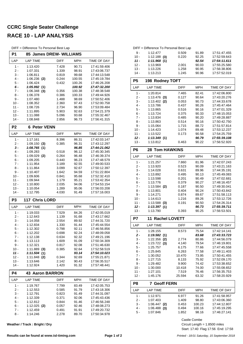# **CCRC Single Seater Challenge RACE 10 - LAP ANALYSIS**

| DIFF = Difference To Personal Best Lap |  |
|----------------------------------------|--|
|----------------------------------------|--|

| P1               | 85 James DREW- WILLIAMS     |                |                  |                              |
|------------------|-----------------------------|----------------|------------------|------------------------------|
| LAP              | <b>LAP TIME</b>             | DIFF           | MPH              | TIME OF DAY                  |
| $1 -$            | 1:13.420                    | 7.428          | 90.71            | 17:41:59.406                 |
| $2 -$            | 1:07.331                    | 1.339          | 98.91            | 17:43:06.737                 |
| $3 -$            | 1:06.811                    | 0.819          | 99.68            | 17:44:13.548                 |
| 4 -              | $1:06.236$ (2)              | 0.244          | 100.55           | 17:45:19.784                 |
| 5 -              | 1:06.424                    | 0.432          | 100.26           | 17:46:26.208                 |
| 6 -<br>7 -       | 1:05.992(1)<br>1:06.348 (3) | 0.356          | 100.92<br>100.38 | 17:47:32.200<br>17:48:38.548 |
| 8 -              | 1:06.378                    | 0.386          | 100.33           | 17:49:44.926                 |
| 9 -              | 1:07.480                    | 1.488          | 98.69            | 17:50:52.406                 |
| $10 -$           | 1:08.352                    | 2.360          | 97.43            | 17:52:00.758                 |
| $11 -$           | 1:08.726                    | 2.734          | 96.90            | 17:53:09.484                 |
| $12 -$           | 1:11.895                    | 5.903          | 92.63            | 17:54:21.379                 |
| 13 -             | 1:11.088                    | 5.096          | 93.68            | 17:55:32.467                 |
| $14 -$           | 1:08.848                    | 2.856          | 96.73            | 17:56:41.315                 |
| P <sub>2</sub>   | <b>6 Peter VENN</b>         |                |                  |                              |
| LAP              | <b>LAP TIME</b>             | <b>DIFF</b>    | <b>MPH</b>       | TIME OF DAY                  |
| 1 -              | 1:17.161                    | 8.396          | 86.31            | 17:42:03.147                 |
| 2 -              | $1:09.150$ (3)              | 0.385          | 96.31            | 17:43:12.297                 |
| 3 -              | 1:08.765(1)                 |                | 96.85            | 17:44:21.062                 |
| $4 -$<br>5 -     | 1:09.283<br>$1:09.029$ (2)  | 0.518<br>0.264 | 96.12<br>96.48   | 17:45:30.345<br>17:46:39.374 |
| 6 -              | 1:09.205                    | 0.440          | 96.23            | 17:47:48.579                 |
| $7 -$            | 1:11.954                    | 3.189          | 92.55            | 17:49:00.533                 |
| 8 -              | 1:11.864                    | 3.099          | 92.67            | 17:50:12.397                 |
| 9 -              | 1:10.407                    | 1.642          | 94.59            | 17:51:22.804                 |
| $10 -$           | 1:09.606                    | 0.841          | 95.68            | 17:52:32.410                 |
| 11 -             | 1:09.944                    | 1.179          | 95.21            | 17:53:42.354                 |
| $12 -$           | 1:10.800                    | 2.035          | 94.06            | 17:54:53.154                 |
|                  |                             |                |                  |                              |
| $13 -$           | 1:10.054                    | 1.289          | 95.06            | 17:56:03.208                 |
| $14 -$           | 1:12.795                    | 4.030          | 91.49            | 17:57:16.003                 |
| P <sub>3</sub>   | 117 Chris LORD              |                |                  |                              |
| LAP              | <b>LAP TIME</b>             | <b>DIFF</b>    | <b>MPH</b>       | TIME OF DAY                  |
| 1 -              | 1:19.033                    | 7.529          | 84.26            | 17:42:05.019                 |
| 2 -              | 1:12.643                    | 1.139          | 91.68            | 17:43:17.662                 |
| 3 -              | 1:14.058                    | 2.554          | 89.92            | 17:44:31.720                 |
| 4 -<br>5 -       | 1:12.834<br>1:12.302        | 1.330<br>0.798 | 91.44<br>92.11   | 17:45:44.554<br>17:46:56.856 |
| ნ -              | 1:12.202                    | 0.698          | 92.24            | 17:48:09.058                 |
| 7 -              | 1:12.138                    | 0.634          | 92.32            | 17:49:21.196                 |
| 8 -              | 1:13.113                    | 1.609          | 91.09            | 17:50:34.309                 |
| 9 -              | 1:12.321                    | 0.817          | 92.08            | 17:51:46.630                 |
| $10 -$           | $1:11.889$ (3)              | 0.385          | 92.64            | 17:52:58.519                 |
| $11 -$           | 1:11.504(1)                 |                | 93.14            | 17:54:10.023                 |
| $12 -$           | 1:11.848 (2)                | 0.344          | 92.69            | 17:55:21.871                 |
| $13 -$<br>$14 -$ | 1:13.646<br>1:12.924        | 2.142<br>1.420 | 90.43<br>91.32   | 17:56:35.517<br>17:57:48.441 |
| <b>P4</b>        | 43<br><b>Aaron BARRON</b>   |                |                  |                              |
| LAP              | <b>LAP TIME</b>             | DIFF           | MPH              | TIME OF DAY                  |
| 1 -              | 1:19.767                    | 7.799          | 83.49            | 17:42:05.753                 |
| $2 -$            | 1:12.553                    | 0.585          | 91.79            | 17:43:18.306                 |
| 3 -              | 1:12.791                    | 0.823          | 91.49            | 17:44:31.097                 |
| 4 -              | 1:12.339                    | 0.371          | 92.06            | 17:45:43.436                 |
| 5 -              | 1:12.812                    | 0.844          | 91.46            | 17:46:56.248                 |
| $6 -$            | $1:12.025$ (2)              | 0.057          | 92.46            | 17:48:08.273                 |
| $7 -$<br>8 -     | 1:12.459<br>1:14.246        | 0.491<br>2.278 | 91.91<br>89.70   | 17:49:20.732<br>17:50:34.978 |

**Weather / Track : Bright / Dry**

| DIFF = Difference To Personal Best Lap |                             |                |                 |                              |  |  |  |  |
|----------------------------------------|-----------------------------|----------------|-----------------|------------------------------|--|--|--|--|
| 9 -                                    | 1:12.477                    | 0.509          | 91.89           | 17:51:47.455                 |  |  |  |  |
| $10 -$                                 | $1:12.188$ (3)              | 0.220          | 92.25           | 17:52:59.643                 |  |  |  |  |
| 11 -                                   | 1:11.968(1)                 |                | 92.54           | 17:54:11.611                 |  |  |  |  |
| $12 -$                                 | 1:13.969                    | 2.001          | 90.03           | 17:55:25.580                 |  |  |  |  |
| $13 -$                                 | 1:13.226                    | 1.258          | 90.95           | 17:56:38.806                 |  |  |  |  |
| $14 -$                                 | 1:13.213                    | 1.245          | 90.96           | 17:57:52.019                 |  |  |  |  |
| P <sub>5</sub><br>198 Rodney TOFT      |                             |                |                 |                              |  |  |  |  |
| LAP                                    | <b>LAP TIME</b>             | <b>DIFF</b>    | MPH             | <b>TIME OF DAY</b>           |  |  |  |  |
| $1 -$                                  | 1:20.814                    | 7.465          | 82.41           | 17:42:06.800                 |  |  |  |  |
| $2 -$                                  | 1:13.476<br>(3)             | 0.127          | 90.64           | 17:43:20.276                 |  |  |  |  |
| 3 -                                    | 1:13.402<br>(2)             | 0.053          | 90.73           | 17:44:33.678                 |  |  |  |  |
| 4 -                                    | 1:13.786                    | 0.437          | 90.26           | 17:45:47.464                 |  |  |  |  |
| $5 -$                                  | 1:13.865                    | 0.516          | 90.16           | 17:47:01.329                 |  |  |  |  |
| 6 -                                    | 1:13.724                    | 0.375          | 90.33           | 17:48:15.053                 |  |  |  |  |
| $7 -$                                  | 1:13.834                    | 0.485          | 90.20           | 17:49:28.887                 |  |  |  |  |
| 8 -                                    | 1:13.863                    | 0.514          | 90.16           | 17:50:42.750                 |  |  |  |  |
| 9 -                                    | 1:15.064                    | 1.715          | 88.72           | 17:51:57.814                 |  |  |  |  |
| $10 -$                                 | 1:14.423                    | 1.074          | 89.48           | 17:53:12.237                 |  |  |  |  |
| 11 -                                   | 1:13.522                    | 0.173          | 90.58           | 17:54:25.759                 |  |  |  |  |
| 12 -                                   | 1:13.349(1)                 |                | 90.79           | 17:55:39.108                 |  |  |  |  |
| $13 -$                                 | 1:13.812                    | 0.463          | 90.22           | 17:56:52.920                 |  |  |  |  |
|                                        |                             |                |                 |                              |  |  |  |  |
| P <sub>6</sub>                         | <b>28 Tom HAWKINS</b>       |                |                 |                              |  |  |  |  |
| LAP                                    | <b>LAP TIME</b>             | <b>DIFF</b>    | <b>MPH</b>      | <b>TIME OF DAY</b>           |  |  |  |  |
| $1 -$                                  | 1:21.257                    | 7.860          | 81.96           | 17:42:07.243                 |  |  |  |  |
| $2 -$                                  | 1:13.920                    | 0.523          | 90.09           | 17:43:21.163                 |  |  |  |  |
| 3 -                                    | 1:14.028                    | 0.631          | 89.96           | 17:44:35.191                 |  |  |  |  |
| 4 -                                    | 1:13.892                    | 0.495          | 90.13           | 17:45:49.083                 |  |  |  |  |
| 5 -                                    | 1:13.598                    | 0.201          | 90.49           | 17:47:02.681                 |  |  |  |  |
| 6 -                                    | 1:13.776                    | 0.379          | 90.27           | 17:48:16.457                 |  |  |  |  |
| $7 -$                                  | 1:13.584<br>(2)             | 0.187          | 90.50           | 17:49:30.041                 |  |  |  |  |
| 8 -                                    | 1:13.801                    | 0.404          | 90.24           | 17:50:43.842                 |  |  |  |  |
| 9 -                                    | 1:14.271                    | 0.874          | 89.67           | 17:51:58.113                 |  |  |  |  |
| $10 -$                                 | 1:14.613                    | 1.216          | 89.26           | 17:53:12.726                 |  |  |  |  |
| 11 -                                   | 1:13.588<br>(3)             | 0.191          | 90.50           | 17:54:26.314                 |  |  |  |  |
| 12 -                                   | 1:13.397(1)                 |                | 90.73           | 17:55:39.711                 |  |  |  |  |
| $13 -$                                 | 1:13.790                    | 0.393          | 90.25           | 17:56:53.501                 |  |  |  |  |
| P7                                     | <b>11 Rachel LOVETT</b>     |                |                 |                              |  |  |  |  |
| LAP                                    | <b>LAP TIME</b>             | <b>DIFF</b>    | <b>MPH</b>      | TIME OF DAY                  |  |  |  |  |
| 1 -                                    |                             |                |                 |                              |  |  |  |  |
|                                        | 1:28.155                    | 8.573          | 75.54           | 17:42:14.141                 |  |  |  |  |
| 2 -                                    | 1:19.582(1)                 |                | 83.68           | 17:43:33.723                 |  |  |  |  |
| $3 -$                                  | 1:22.356<br>(2)             | 2.774          | 80.86           | 17:44:56.079                 |  |  |  |  |
| 4 -                                    | 1:23.722<br>(3)             | 4.140          | 79.54           | 17:46:19.801                 |  |  |  |  |
| $5 -$                                  | 1:25.757                    | 6.175          | 77.66           | 17:47:45.558                 |  |  |  |  |
| 6 -                                    | 1:25.845                    | 6.263          | 77.58           | 17:49:11.403                 |  |  |  |  |
| 7 -                                    | 1:30.052                    | 10.470         | 73.95           | 17:50:41.455                 |  |  |  |  |
| 8 -                                    | 1:27.715                    | 8.133          | 75.92           | 17:52:09.170                 |  |  |  |  |
| 9 -                                    | 1:29.482                    | 9.900          | 74.42           | 17:53:38.652                 |  |  |  |  |
| $10 -$                                 | 1:30.000                    | 10.418         | 74.00           | 17:55:08.652                 |  |  |  |  |
| 11 -                                   | 1:27.101                    | 7.519          | 76.46           | 17:56:35.753                 |  |  |  |  |
| $12 -$                                 | 1:45.176                    | 25.594         | 63.32           | 17:58:20.929                 |  |  |  |  |
| P8                                     | 7 Geoff FERN                |                |                 |                              |  |  |  |  |
| LAP                                    | LAP TIME                    | DIFF           | MPH             | TIME OF DAY                  |  |  |  |  |
| $1 -$                                  |                             |                |                 |                              |  |  |  |  |
|                                        | 1:12.971                    | 6.977          | 91.26           | 17:41:58.957                 |  |  |  |  |
| $2 -$<br>3 -                           | 1:07.403<br>1:06.447<br>(2) | 1.409<br>0.453 | 98.80<br>100.23 | 17:43:06.360<br>17:44:12.807 |  |  |  |  |
| 4 -                                    | 1:06.488<br>(3)             | 0.494          | 100.16          | 17:45:19.295                 |  |  |  |  |

Castle Combe

> Start: 17:40 Flag 17:56 End: 17:58 Circuit Length = 1.8500 miles